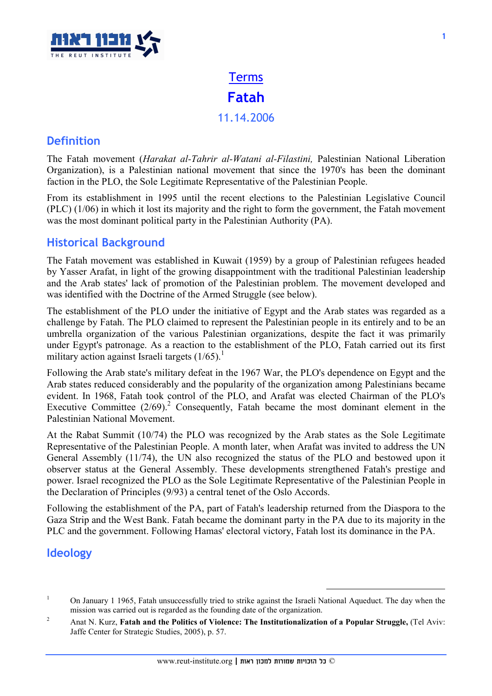

# Terms Fatah 11.14.2006

### **Definition**

The Fatah movement (Harakat al-Tahrir al-Watani al-Filastini, Palestinian National Liberation Organization), is a Palestinian national movement that since the 1970's has been the dominant faction in the PLO, the Sole Legitimate Representative of the Palestinian People.

From its establishment in 1995 until the recent elections to the Palestinian Legislative Council (PLC) (1/06) in which it lost its majority and the right to form the government, the Fatah movement was the most dominant political party in the Palestinian Authority (PA).

#### Historical Background

The Fatah movement was established in Kuwait (1959) by a group of Palestinian refugees headed by Yasser Arafat, in light of the growing disappointment with the traditional Palestinian leadership and the Arab states' lack of promotion of the Palestinian problem. The movement developed and was identified with the Doctrine of the Armed Struggle (see below).

The establishment of the PLO under the initiative of Egypt and the Arab states was regarded as a challenge by Fatah. The PLO claimed to represent the Palestinian people in its entirely and to be an umbrella organization of the various Palestinian organizations, despite the fact it was primarily under Egypt's patronage. As a reaction to the establishment of the PLO, Fatah carried out its first military action against Israeli targets  $(1/65)$ .<sup>1</sup>

Following the Arab state's military defeat in the 1967 War, the PLO's dependence on Egypt and the Arab states reduced considerably and the popularity of the organization among Palestinians became evident. In 1968, Fatah took control of the PLO, and Arafat was elected Chairman of the PLO's Executive Committee  $(2/69)^2$  Consequently, Fatah became the most dominant element in the Palestinian National Movement.

At the Rabat Summit (10/74) the PLO was recognized by the Arab states as the Sole Legitimate Representative of the Palestinian People. A month later, when Arafat was invited to address the UN General Assembly (11/74), the UN also recognized the status of the PLO and bestowed upon it observer status at the General Assembly. These developments strengthened Fatah's prestige and power. Israel recognized the PLO as the Sole Legitimate Representative of the Palestinian People in the Declaration of Principles (9/93) a central tenet of the Oslo Accords.

Following the establishment of the PA, part of Fatah's leadership returned from the Diaspora to the Gaza Strip and the West Bank. Fatah became the dominant party in the PA due to its majority in the PLC and the government. Following Hamas' electoral victory, Fatah lost its dominance in the PA.

#### Ideology

 $\overline{a}$ 

<sup>1</sup> On January 1 1965, Fatah unsuccessfully tried to strike against the Israeli National Aqueduct. The day when the mission was carried out is regarded as the founding date of the organization.

<sup>2</sup> Anat N. Kurz, Fatah and the Politics of Violence: The Institutionalization of a Popular Struggle, (Tel Aviv: Jaffe Center for Strategic Studies, 2005), p. 57.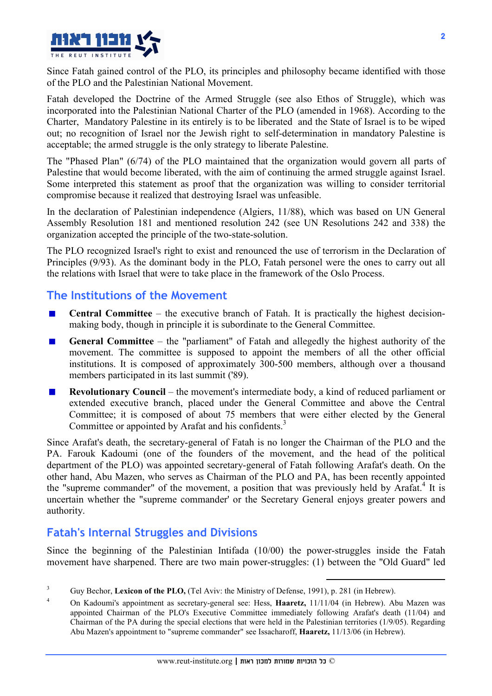

Since Fatah gained control of the PLO, its principles and philosophy became identified with those of the PLO and the Palestinian National Movement.

Fatah developed the Doctrine of the Armed Struggle (see also Ethos of Struggle), which was incorporated into the Palestinian National Charter of the PLO (amended in 1968). According to the Charter, Mandatory Palestine in its entirely is to be liberated and the State of Israel is to be wiped out; no recognition of Israel nor the Jewish right to self-determination in mandatory Palestine is acceptable; the armed struggle is the only strategy to liberate Palestine.

The "Phased Plan" (6/74) of the PLO maintained that the organization would govern all parts of Palestine that would become liberated, with the aim of continuing the armed struggle against Israel. Some interpreted this statement as proof that the organization was willing to consider territorial compromise because it realized that destroying Israel was unfeasible.

In the declaration of Palestinian independence (Algiers, 11/88), which was based on UN General Assembly Resolution 181 and mentioned resolution 242 (see UN Resolutions 242 and 338) the organization accepted the principle of the two-state-solution.

The PLO recognized Israel's right to exist and renounced the use of terrorism in the Declaration of Principles (9/93). As the dominant body in the PLO, Fatah personel were the ones to carry out all the relations with Israel that were to take place in the framework of the Oslo Process.

#### The Institutions of the Movement

- Central Committee the executive branch of Fatah. It is practically the highest decision- $\blacksquare$ making body, though in principle it is subordinate to the General Committee.
- General Committee the "parliament" of Fatah and allegedly the highest authority of the movement. The committee is supposed to appoint the members of all the other official institutions. It is composed of approximately 300-500 members, although over a thousand members participated in its last summit ('89).
- Revolutionary Council the movement's intermediate body, a kind of reduced parliament or extended executive branch, placed under the General Committee and above the Central Committee; it is composed of about 75 members that were either elected by the General Committee or appointed by Arafat and his confidents.<sup>3</sup>

Since Arafat's death, the secretary-general of Fatah is no longer the Chairman of the PLO and the PA. Farouk Kadoumi (one of the founders of the movement, and the head of the political department of the PLO) was appointed secretary-general of Fatah following Arafat's death. On the other hand, Abu Mazen, who serves as Chairman of the PLO and PA, has been recently appointed the "supreme commander" of the movement, a position that was previously held by Arafat.<sup>4</sup> It is uncertain whether the "supreme commander' or the Secretary General enjoys greater powers and authority.

## Fatah's Internal Struggles and Divisions

Since the beginning of the Palestinian Intifada (10/00) the power-struggles inside the Fatah movement have sharpened. There are two main power-struggles: (1) between the "Old Guard" led

 $\overline{a}$ 

<sup>3</sup> Guy Bechor, Lexicon of the PLO, (Tel Aviv: the Ministry of Defense, 1991), p. 281 (in Hebrew).

<sup>4</sup> On Kadoumi's appointment as secretary-general see: Hess, Haaretz, 11/11/04 (in Hebrew). Abu Mazen was appointed Chairman of the PLO's Executive Committee immediately following Arafat's death (11/04) and Chairman of the PA during the special elections that were held in the Palestinian territories (1/9/05). Regarding Abu Mazen's appointment to "supreme commander" see Issacharoff, Haaretz, 11/13/06 (in Hebrew).